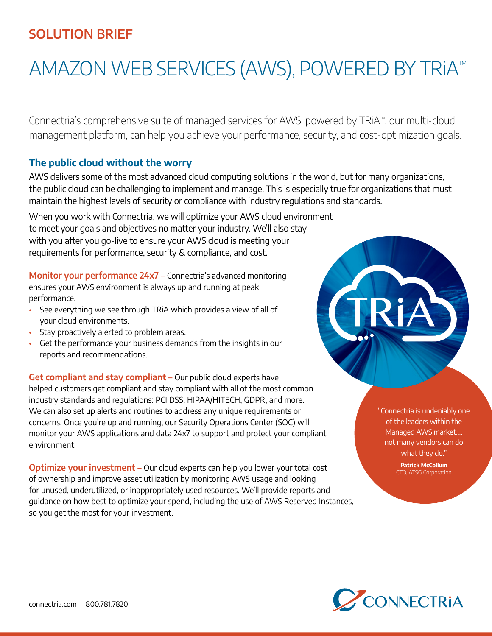# **SOLUTION BRIEF**

# AMAZON WEB SERVICES (AWS), POWERED BY TRIA<sup>™</sup>

Connectria's comprehensive suite of managed services for AWS, powered by TRiA<sup>™</sup>, our multi-cloud management platform, can help you achieve your performance, security, and cost-optimization goals.

### **The public cloud without the worry**

AWS delivers some of the most advanced cloud computing solutions in the world, but for many organizations, the public cloud can be challenging to implement and manage. This is especially true for organizations that must maintain the highest levels of security or compliance with industry regulations and standards.

When you work with Connectria, we will optimize your AWS cloud environment to meet your goals and objectives no matter your industry. We'll also stay with you after you go-live to ensure your AWS cloud is meeting your requirements for performance, security & compliance, and cost.

**Monitor your performance 24x7 –** Connectria's advanced monitoring ensures your AWS environment is always up and running at peak performance.

- See everything we see through TRiA which provides a view of all of your cloud environments.
- Stay proactively alerted to problem areas.
- Get the performance your business demands from the insights in our reports and recommendations.

**Get compliant and stay compliant –** Our public cloud experts have helped customers get compliant and stay compliant with all of the most common industry standards and regulations: PCI DSS, HIPAA/HITECH, GDPR, and more. We can also set up alerts and routines to address any unique requirements or concerns. Once you're up and running, our Security Operations Center (SOC) will monitor your AWS applications and data 24x7 to support and protect your compliant environment.

**Optimize your investment** – Our cloud experts can help you lower your total cost of ownership and improve asset utilization by monitoring AWS usage and looking for unused, underutilized, or inappropriately used resources. We'll provide reports and guidance on how best to optimize your spend, including the use of AWS Reserved Instances, so you get the most for your investment.



"Connectria is undeniably one of the leaders within the Managed AWS market.... not many vendors can do what they do." **Patrick McCollum** CTO, ATSG Corporation

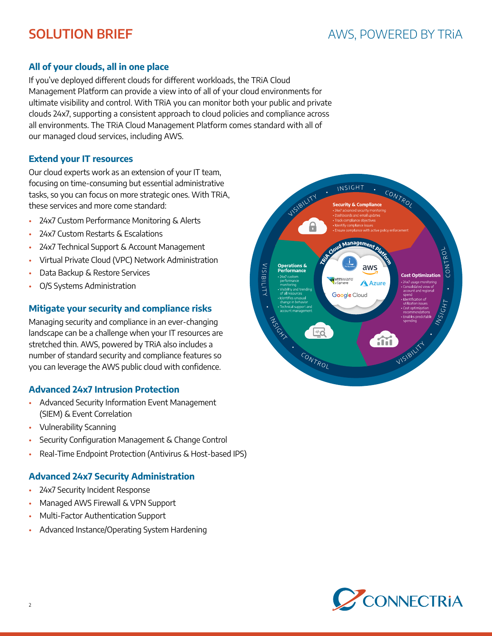# **SOLUTION BRIEF** AWS, POWERED BY TRIA

### **All of your clouds, all in one place**

If you've deployed different clouds for different workloads, the TRiA Cloud Management Platform can provide a view into of all of your cloud environments for ultimate visibility and control. With TRiA you can monitor both your public and private clouds 24x7, supporting a consistent approach to cloud policies and compliance across all environments. The TRiA Cloud Management Platform comes standard with all of our managed cloud services, including AWS.

### **Extend your IT resources**

Our cloud experts work as an extension of your IT team, focusing on time-consuming but essential administrative tasks, so you can focus on more strategic ones. With TRiA, these services and more come standard:

- 24x7 Custom Performance Monitoring & Alerts
- 24x7 Custom Restarts & Escalations
- 24x7 Technical Support & Account Management
- Virtual Private Cloud (VPC) Network Administration
- Data Backup & Restore Services
- O/S Systems Administration

### **Mitigate your security and compliance risks**

Managing security and compliance in an ever-changing landscape can be a challenge when your IT resources are stretched thin. AWS, powered by TRiA also includes a number of standard security and compliance features so you can leverage the AWS public cloud with confidence.

### **Advanced 24x7 Intrusion Protection**

- Advanced Security Information Event Management (SIEM) & Event Correlation
- Vulnerability Scanning
- Security Configuration Management & Change Control
- Real-Time Endpoint Protection (Antivirus & Host-based IPS)

### **Advanced 24x7 Security Administration**

- 24x7 Security Incident Response
- Managed AWS Firewall & VPN Support
- Multi-Factor Authentication Support
- Advanced Instance/Operating System Hardening